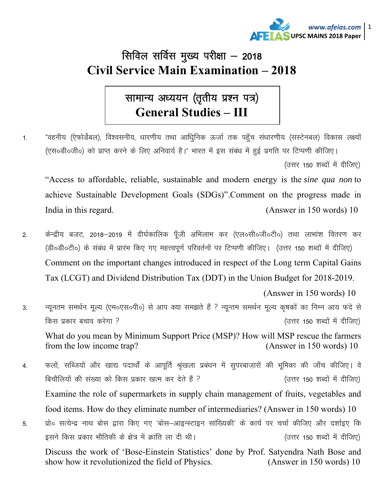

## सिविल सर्विस मुख्य परीक्षा - 2018 **Civil Service Main Examination - 2018**

## सामान्य अध्ययन (तृतीय प्रश्न पत्र) **General Studies - III**

"वहनीय (ऐफोर्डेबल), विश्वसनीय, धारणीय तथा आधिुनिक ऊर्जा तक पहुँच संधारणीय (सस्टेनबल) विकास लक्ष्यों  $\mathbf{1}$ . (एस०डी०जी०) को प्राप्त करने के लिए अनिवार्य है।" भारत में इस संबंध में हुई प्रगति पर टिप्पणी कीजिए। (उत्तर 150 शब्दों में दीजिए)

"Access to affordable, reliable, sustainable and modern energy is the *sine qua non* to achieve Sustainable Development Goals (SDGs)".Comment on the progress made in India in this regard. (Answer in 150 words) 10

केन्द्रीय बजट, 2018–2019 में दीर्घकालिक पूँजी अभिलाभ कर (एल०सी०जी०टी०) तथा लाभांश वितरण कर  $\overline{2}$ . (डी॰डी॰टी॰) के संबंध में प्रारंभ किए गए महत्त्वपूर्ण परिवर्तनों पर टिप्पणी कीजिए। (उत्तर 150 शब्दों में दीजिए) Comment on the important changes introduced in respect of the Long term Capital Gains Tax (LCGT) and Dividend Distribution Tax (DDT) in the Union Budget for 2018-2019.

(Answer in 150 words) 10

न्यूनतम समर्थन मूल्य (एम०एस०पी०) से आप क्या समझते हैं ? न्यून्तम समर्थन मूल्य कृषकों का निम्न आय फंदे से 3. किस प्रकार बचाव करेगा ? (उत्तर 150 शब्दों में दीजिए)

What do you mean by Minimum Support Price (MSP)? How will MSP rescue the farmers from the low income trap? (Answer in 150 words) 10

फलों, सब्जियों और खाद्य पदार्थों के आपूर्ति श्रृंखला प्रबंधन में सुपरबाज़ारों की भूमिका की जाँच कीजिए। वे  $\overline{4}$ . बिचौलियों की संख्या को किस प्रकार खत्म कर देते हैं ? (उत्तर 150 शब्दों में दीजिए) Examine the role of supermarkets in supply chain management of fruits, vegetables and food items. How do they eliminate number of intermediaries? (Answer in 150 words) 10 प्रो० सत्येन्द्र नाथ बोस द्वारा किए गए 'बोस–आइन्स्टाइन सांख्यिकी' के कार्य पर चर्चा कीजिए और दर्शाइए कि 5. इसने किस प्रकार भौतिकी के क्षेत्र में क्रांति ला दी थी। (उत्तर 150 शब्दों में दीजिए)

Discuss the work of 'Bose-Einstein Statistics' done by Prof. Satyendra Nath Bose and show how it revolutionized the field of Physics. (Answer in  $150$  words) 10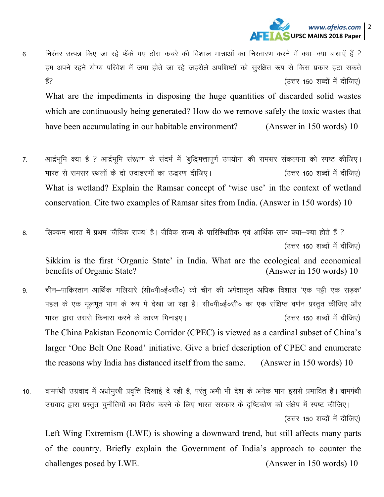

निरंतर उत्पन्न किए जा रहे फेंके गए ठोस कचरे की विशाल मात्राओं का निस्तारण करने में क्या-क्या बाधाएँ हैं ? 6. हम अपने रहने योग्य परिवेश में जमा होते जा रहे जहरीले अपशिष्टों को सुरक्षित रूप से किस प्रकार हटा सकते हैं? (उत्तर 150 शब्दों में दीजिए)

What are the impediments in disposing the huge quantities of discarded solid wastes which are continuously being generated? How do we remove safely the toxic wastes that have been accumulating in our habitable environment? (Answer in  $150$  words) 10

- आर्द्रभूमि क्या है ? आर्द्रभूमि संरक्षण के संदर्भ में 'बुद्धिमत्तापूर्ण उपयोग' की रामसर संकल्पना को स्पष्ट कीजिए।  $7.$ भारत से रामसर स्थलों के दो उदाहरणों का उद्धरण दीजिए। (उत्तर 150 शब्दों में दीजिए) What is wetland? Explain the Ramsar concept of 'wise use' in the context of wetland conservation. Cite two examples of Ramsar sites from India. (Answer in 150 words) 10
- सिक्कम भारत में प्रथम 'जैविक राज्य' है। जैविक राज्य के पारिस्थितिक एवं आर्थिक लाभ क्या—क्या होते हैं ? 8. (उत्तर 150 शब्दों में दीजिए)

Sikkim is the first 'Organic State' in India. What are the ecological and economical benefits of Organic State? (Answer in 150 words) 10

- चीन–पाकिस्तान आर्थिक गलियारे (सी०पी०ई०सी०) को चीन की अपेक्षाकत अधिक विशाल 'एक पट्टी एक सडक' 9 पहल के एक मूलभूत भाग के रूप में देखा जा रहा है। सी०पी०ई०सी० का एक संक्षिप्त वर्णन प्रस्तुत कीजिए और भारत द्वारा उससे किनारा करने के कारण गिनाइए। (उत्तर 150 शब्दों में दीजिए) The China Pakistan Economic Corridor (CPEC) is viewed as a cardinal subset of China's larger 'One Belt One Road' initiative. Give a brief description of CPEC and enumerate the reasons why India has distanced itself from the same. (Answer in 150 words) 10
- वामपंथी उग्रवाद में अधोमूखी प्रवृत्ति दिखाई दे रही है, परंतु अभी भी देश के अनेक भाग इससे प्रभावित हैं। वामपंथी  $10.$ उग्रवाद द्वारा प्रस्तुत चुनौतियों का विरोध करने के लिए भारत सरकार के दृष्टिकोण को संक्षेप में स्पष्ट कीजिए। (उत्तर 150 शब्दों में दीजिए)

Left Wing Extremism (LWE) is showing a downward trend, but still affects many parts of the country. Briefly explain the Government of India's approach to counter the challenges posed by LWE. (Answer in 150 words) 10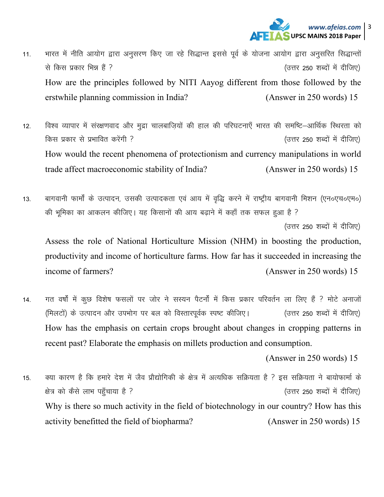

- भारत में नीति आयोग द्वारा अनुसरण किए जा रहे सिद्धान्त इससे पूर्व के योजना आयोग द्वारा अनुसरित सिद्धान्तों  $11.$ से किस प्रकार भिन्न हैं ? (उत्तर 250 शब्दों में दीजिए) How are the principles followed by NITI Aayog different from those followed by the erstwhile planning commission in India? (Answer in 250 words) 15
- विश्व व्यापार में संरक्षणवाद और मुद्रा चालबाजियों की हाल की परिघटनाएँ भारत की समष्टि–आर्थिक स्थिरता को  $12<sup>°</sup>$ किस प्रकार से प्रभावित करेंगी ? (उत्तर 250 शब्दों में दीजिए) How would the recent phenomena of protectionism and currency manipulations in world trade affect macroeconomic stability of India? (Answer in 250 words) 15
- बागवानी फार्मों के उत्पादन, उसकी उत्पादकता एवं आय में वृद्धि करने में राष्ट्रीय बागवानी मिशन (एन०एच०एम०)  $13<sub>1</sub>$ की भूमिका का आकलन कीजिए। यह किसानों की आय बढ़ाने में कहाँ तक सफल हुआ है ?

(उत्तर 250 शब्दों में दीजिए)

Assess the role of National Horticulture Mission (NHM) in boosting the production, productivity and income of horticulture farms. How far has it succeeded in increasing the income of farmers? (Answer in 250 words) 15

गत वर्षों में कूछ विशेष फसलों पर जोर ने सस्यन पैटर्नों में किस प्रकार परिवर्तन ला लिए हैं ? मोटे अनाजों 14. (मिलटों) के उत्पादन और उपभोग पर बल को विस्तारपूर्वक स्पष्ट कीजिए। (उत्तर 250 शब्दों में दीजिए) How has the emphasis on certain crops brought about changes in cropping patterns in recent past? Elaborate the emphasis on millets production and consumption.

(Answer in 250 words) 15

क्या कारण है कि हमारे देश में जैव प्रौद्योगिकी के क्षेत्र में अत्यधिक सक्रियता है ? इस सक्रियता ने बायोफार्मा के  $15<sub>1</sub>$ क्षेत्र को कैसे लाभ पहुँचाया है ? (उत्तर 250 शब्दों में दीजिए) Why is there so much activity in the field of biotechnology in our country? How has this activity benefitted the field of biopharma? (Answer in 250 words) 15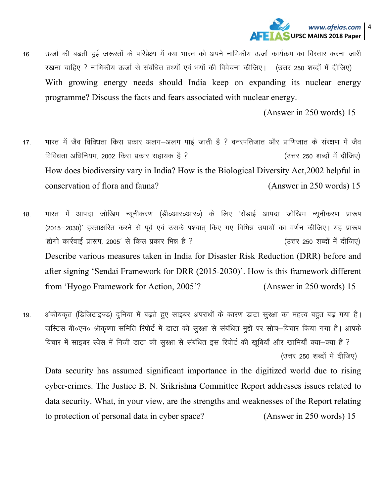

16. विज्जी की बढती हुई जरूरतों के परिप्रेक्ष्य में क्या भारत को अपने नाभिकीय ऊर्जा कार्यक्रम का विस्तार करना जारी रखना चाहिए ? नाभिकीय ऊर्जा से संबंधित तथ्यों एवं भयों की विवेचना कीजिए। (उत्तर 250 शब्दों में दीजिए) With growing energy needs should India keep on expanding its nuclear energy programme? Discuss the facts and fears associated with nuclear energy.

(Answer in 250 words) 15

- 17. भारत में जैव विविधता किस प्रकार अलग-अलग पाई जाती है ? वनस्पतिजात और प्राणिजात के संरक्षण में जैव विविधता अधिनियम, 2002 किस प्रकार सहायक है ?<br>बिविधता अधिनियम, 2002 किस प्रकार सहायक है ? How does biodiversity vary in India? How is the Biological Diversity Act,2002 helpful in conservation of flora and fauna? (Answer in 250 words) 15
- 18. भारत में आपदा जोखिम न्यूनीकरण (डी०आर०आर०) के लिए 'सेंडाई आपदा जोखिम न्यूनीकरण प्रारूप (2015-2030)' हस्ताक्षरित करने से पूर्व एवं उसके पश्चात् किए गए विभिन्न उपायों का वर्णन कीजिए। यह प्रारूप ^ásxks dkjZokbZ izk:Ik] 2005^ ls fdl izdkj fHké gS \ ¼mŸkj 250 'kCnksa esa nhft,½ Describe various measures taken in India for Disaster Risk Reduction (DRR) before and after signing 'Sendai Framework for DRR (2015-2030)'. How is this framework different from 'Hyogo Framework for Action, 2005'? (Answer in 250 words) 15
- 19. अंकीयकृत (डिजिटाइज्ड) दुनिया में बढते हुए साइबर अपराधों के कारण डाटा सुरक्षा का महत्त्व बहुत बढ गया है। जस्टिस बी॰एन॰ श्रीकृष्णा समिति रिपोर्ट में डाटा की सुरक्षा से संबंधित मुद्दों पर सोच–विचार किया गया है। आपके विचार में साइबर स्पेस में निजी डाटा की सुरक्षा से संबंधित इस रिपोर्ट की खुबियाँ और खामियाँ क्या–क्या हैं ? (उत्तर 250 शब्दों में दीजिए)

Data security has assumed significant importance in the digitized world due to rising cyber-crimes. The Justice B. N. Srikrishna Committee Report addresses issues related to data security. What, in your view, are the strengths and weaknesses of the Report relating to protection of personal data in cyber space? (Answer in 250 words) 15